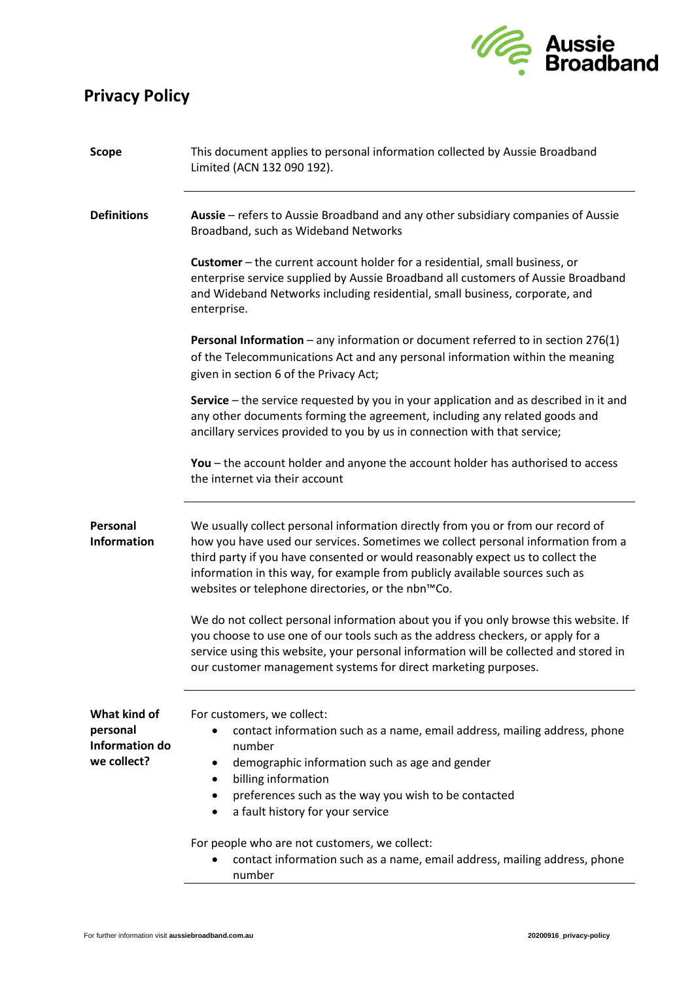## **Privacy Policy**



| <b>Scope</b>                                              | This document applies to personal information collected by Aussie Broadband<br>Limited (ACN 132 090 192).                                                                                                                                                                                                                                                                                  |
|-----------------------------------------------------------|--------------------------------------------------------------------------------------------------------------------------------------------------------------------------------------------------------------------------------------------------------------------------------------------------------------------------------------------------------------------------------------------|
| <b>Definitions</b>                                        | Aussie – refers to Aussie Broadband and any other subsidiary companies of Aussie<br>Broadband, such as Wideband Networks                                                                                                                                                                                                                                                                   |
|                                                           | Customer - the current account holder for a residential, small business, or<br>enterprise service supplied by Aussie Broadband all customers of Aussie Broadband<br>and Wideband Networks including residential, small business, corporate, and<br>enterprise.                                                                                                                             |
|                                                           | Personal Information - any information or document referred to in section 276(1)<br>of the Telecommunications Act and any personal information within the meaning<br>given in section 6 of the Privacy Act;                                                                                                                                                                                |
|                                                           | Service - the service requested by you in your application and as described in it and<br>any other documents forming the agreement, including any related goods and<br>ancillary services provided to you by us in connection with that service;                                                                                                                                           |
|                                                           | You – the account holder and anyone the account holder has authorised to access<br>the internet via their account                                                                                                                                                                                                                                                                          |
| Personal<br>Information                                   | We usually collect personal information directly from you or from our record of<br>how you have used our services. Sometimes we collect personal information from a<br>third party if you have consented or would reasonably expect us to collect the<br>information in this way, for example from publicly available sources such as<br>websites or telephone directories, or the nbn™Co. |
|                                                           | We do not collect personal information about you if you only browse this website. If<br>you choose to use one of our tools such as the address checkers, or apply for a<br>service using this website, your personal information will be collected and stored in<br>our customer management systems for direct marketing purposes.                                                         |
| What kind of<br>personal<br>Information do<br>we collect? | For customers, we collect:<br>contact information such as a name, email address, mailing address, phone<br>number<br>demographic information such as age and gender<br>billing information<br>preferences such as the way you wish to be contacted<br>a fault history for your service<br>٠                                                                                                |
|                                                           | For people who are not customers, we collect:<br>contact information such as a name, email address, mailing address, phone<br>number                                                                                                                                                                                                                                                       |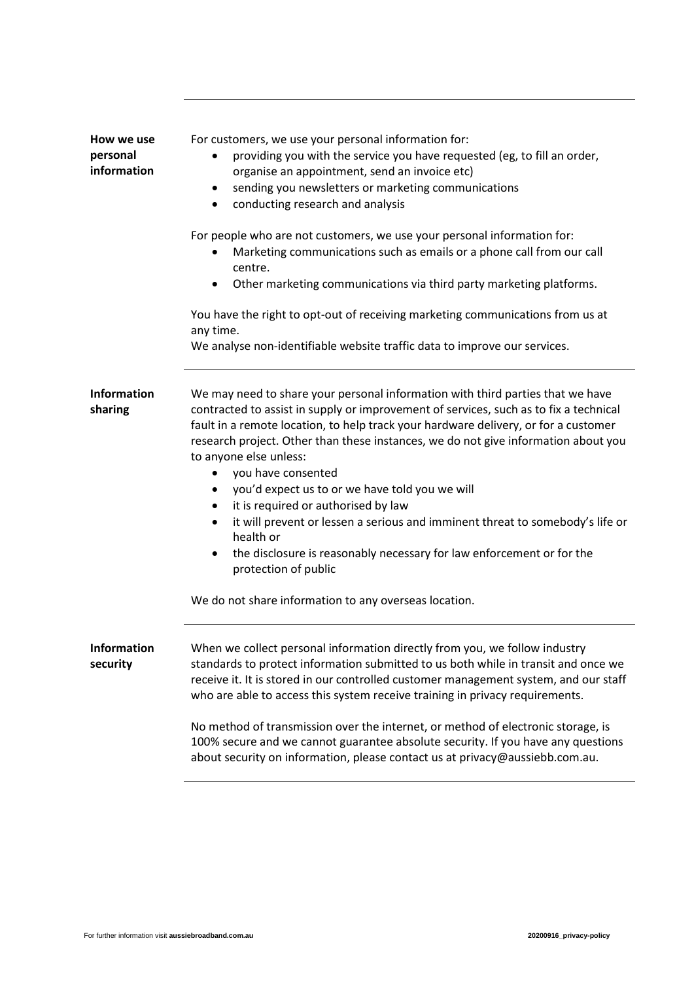| How we use<br>personal<br>information | For customers, we use your personal information for:<br>providing you with the service you have requested (eg, to fill an order,<br>organise an appointment, send an invoice etc)<br>sending you newsletters or marketing communications<br>$\bullet$<br>conducting research and analysis<br>$\bullet$                                                                                                                                                                                                                                                                                                                                                                                                                                                        |
|---------------------------------------|---------------------------------------------------------------------------------------------------------------------------------------------------------------------------------------------------------------------------------------------------------------------------------------------------------------------------------------------------------------------------------------------------------------------------------------------------------------------------------------------------------------------------------------------------------------------------------------------------------------------------------------------------------------------------------------------------------------------------------------------------------------|
|                                       | For people who are not customers, we use your personal information for:<br>Marketing communications such as emails or a phone call from our call<br>centre.<br>Other marketing communications via third party marketing platforms.<br>$\bullet$                                                                                                                                                                                                                                                                                                                                                                                                                                                                                                               |
|                                       | You have the right to opt-out of receiving marketing communications from us at<br>any time.<br>We analyse non-identifiable website traffic data to improve our services.                                                                                                                                                                                                                                                                                                                                                                                                                                                                                                                                                                                      |
| <b>Information</b><br>sharing         | We may need to share your personal information with third parties that we have<br>contracted to assist in supply or improvement of services, such as to fix a technical<br>fault in a remote location, to help track your hardware delivery, or for a customer<br>research project. Other than these instances, we do not give information about you<br>to anyone else unless:<br>you have consented<br>$\bullet$<br>you'd expect us to or we have told you we will<br>$\bullet$<br>it is required or authorised by law<br>$\bullet$<br>it will prevent or lessen a serious and imminent threat to somebody's life or<br>$\bullet$<br>health or<br>the disclosure is reasonably necessary for law enforcement or for the<br>$\bullet$<br>protection of public |
|                                       | We do not share information to any overseas location.                                                                                                                                                                                                                                                                                                                                                                                                                                                                                                                                                                                                                                                                                                         |
| <b>Information</b><br>security        | When we collect personal information directly from you, we follow industry<br>standards to protect information submitted to us both while in transit and once we<br>receive it. It is stored in our controlled customer management system, and our staff<br>who are able to access this system receive training in privacy requirements.<br>No method of transmission over the internet, or method of electronic storage, is<br>100% secure and we cannot guarantee absolute security. If you have any questions<br>about security on information, please contact us at privacy@aussiebb.com.au.                                                                                                                                                              |